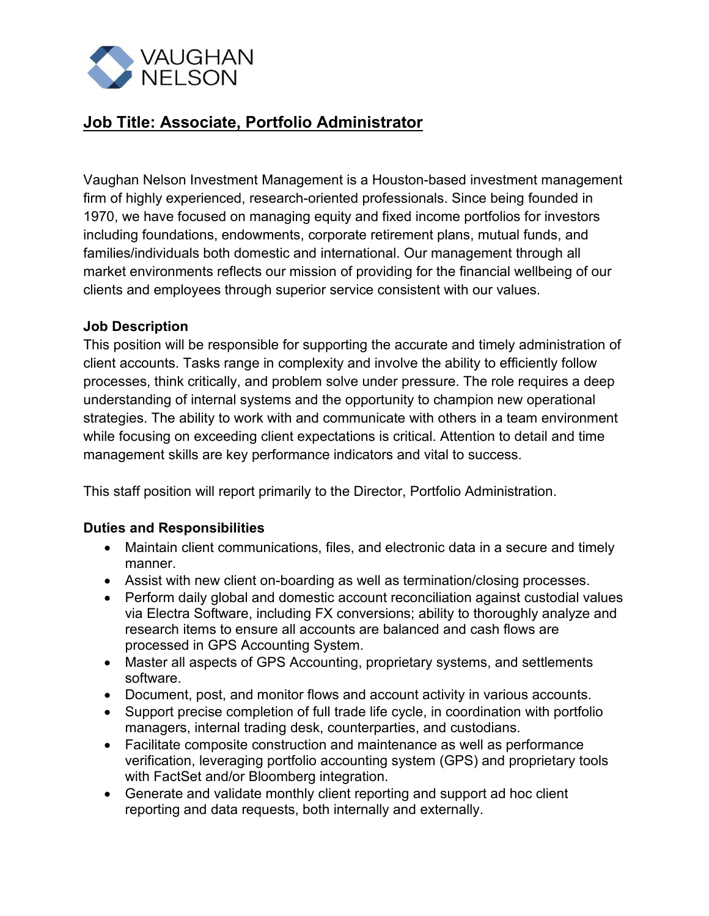

## **Job Title: Associate, Portfolio Administrator**

Vaughan Nelson Investment Management is a Houston-based investment management firm of highly experienced, research-oriented professionals. Since being founded in 1970, we have focused on managing equity and fixed income portfolios for investors including foundations, endowments, corporate retirement plans, mutual funds, and families/individuals both domestic and international. Our management through all market environments reflects our mission of providing for the financial wellbeing of our clients and employees through superior service consistent with our values.

## **Job Description**

This position will be responsible for supporting the accurate and timely administration of client accounts. Tasks range in complexity and involve the ability to efficiently follow processes, think critically, and problem solve under pressure. The role requires a deep understanding of internal systems and the opportunity to champion new operational strategies. The ability to work with and communicate with others in a team environment while focusing on exceeding client expectations is critical. Attention to detail and time management skills are key performance indicators and vital to success.

This staff position will report primarily to the Director, Portfolio Administration.

## **Duties and Responsibilities**

- Maintain client communications, files, and electronic data in a secure and timely manner.
- Assist with new client on-boarding as well as termination/closing processes.
- Perform daily global and domestic account reconciliation against custodial values via Electra Software, including FX conversions; ability to thoroughly analyze and research items to ensure all accounts are balanced and cash flows are processed in GPS Accounting System.
- Master all aspects of GPS Accounting, proprietary systems, and settlements software.
- Document, post, and monitor flows and account activity in various accounts.
- Support precise completion of full trade life cycle, in coordination with portfolio managers, internal trading desk, counterparties, and custodians.
- Facilitate composite construction and maintenance as well as performance verification, leveraging portfolio accounting system (GPS) and proprietary tools with FactSet and/or Bloomberg integration.
- Generate and validate monthly client reporting and support ad hoc client reporting and data requests, both internally and externally.